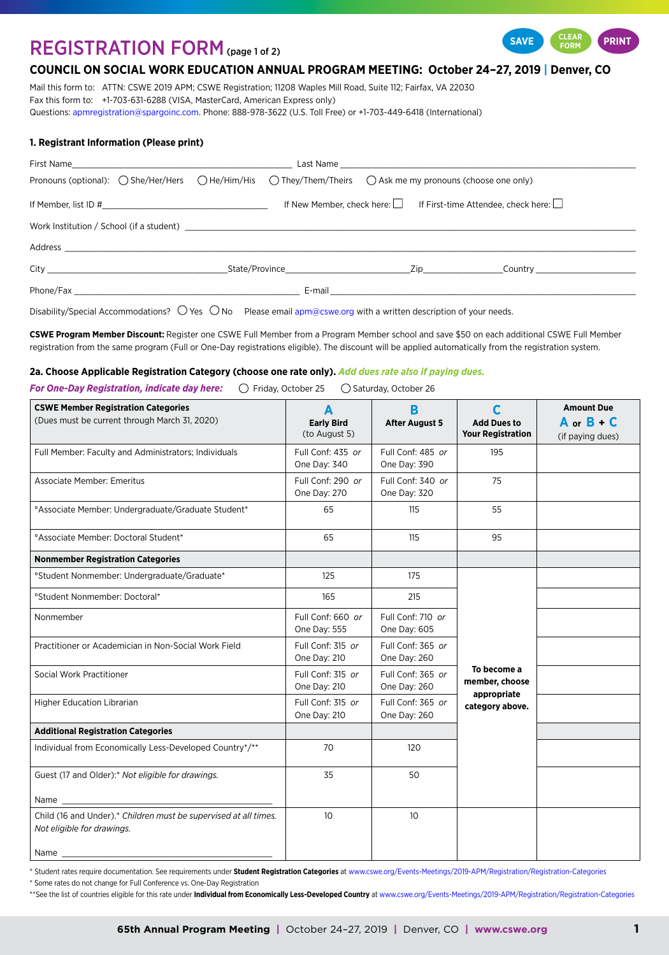# REGISTRATION FORM (page 1 of 2)



# **COUNCIL ON SOCIAL WORK EDUCATION ANNUAL PROGRAM MEETING: October 24–27, 2019 | Denver, CO**

Mail this form to: ATTN: CSWE 2019 APM; CSWE Registration; 11208 Waples Mill Road, Suite 112; Fairfax, VA 22030 Fax this form to: +1-703-631-6288 (VISA, MasterCard, American Express only) Questions: [apmregistration@spargoinc.com.](mailto:apmregistration%40spargoinc.com?subject=) Phone: 888-978-3622 (U.S. Toll Free) or +1-703-449-6418 (International)

## **1. Registrant Information (Please print)**

|                                                                                                                                                                                                                               |  |  | Pronouns (optional): $\bigcirc$ She/Her/Hers $\bigcirc$ He/Him/His $\bigcirc$ They/Them/Theirs $\bigcirc$ Ask me my pronouns (choose one only) |                                                                                                                |                                                                                |
|-------------------------------------------------------------------------------------------------------------------------------------------------------------------------------------------------------------------------------|--|--|------------------------------------------------------------------------------------------------------------------------------------------------|----------------------------------------------------------------------------------------------------------------|--------------------------------------------------------------------------------|
| If Member, list ID $\#$                                                                                                                                                                                                       |  |  |                                                                                                                                                | If New Member, check here: $\Box$ If First-time Attendee, check here: $\Box$                                   |                                                                                |
|                                                                                                                                                                                                                               |  |  |                                                                                                                                                |                                                                                                                |                                                                                |
|                                                                                                                                                                                                                               |  |  |                                                                                                                                                |                                                                                                                |                                                                                |
|                                                                                                                                                                                                                               |  |  |                                                                                                                                                |                                                                                                                | City Current City Country State/Province National City Country Country Country |
| Phone/Fax and the contract of the contract of the contract of the contract of the contract of the contract of the contract of the contract of the contract of the contract of the contract of the contract of the contract of |  |  |                                                                                                                                                | E-mail and the contract of the contract of the contract of the contract of the contract of the contract of the |                                                                                |

Disability/Special Accommodations?  $\bigcirc$  Yes  $\bigcirc$  No Please email [apm@cswe.org](mailto:apm%40cswe.org?subject=) with a written description of your needs.

**CSWE Program Member Discount:** Register one CSWE Full Member from a Program Member school and save \$50 on each additional CSWE Full Member registration from the same program (Full or One-Day registrations eligible). The discount will be applied automatically from the registration system.

## **2a. Choose Applicable Registration Category (choose one rate only).** *Add dues rate also if paying dues.*

**For One-Day Registration, indicate day here:**  $\bigcirc$  Friday, October 25  $\bigcirc$  Saturday, October 26

| <b>CSWE Member Registration Categories</b><br>(Dues must be current through March 31, 2020)    | A<br><b>Early Bird</b><br>(to August 5) | B<br><b>After August 5</b>        | C<br><b>Add Dues to</b><br><b>Your Registration</b> | <b>Amount Due</b><br>A or $B - C$<br>(if paying dues) |
|------------------------------------------------------------------------------------------------|-----------------------------------------|-----------------------------------|-----------------------------------------------------|-------------------------------------------------------|
| Full Member: Faculty and Administrators; Individuals                                           | Full Conf: 435 or<br>One Day: 340       | Full Conf: 485 or<br>One Day: 390 | 195                                                 |                                                       |
| Associate Member: Emeritus                                                                     | Full Conf: 290 or<br>One Day: 270       | Full Conf: 340 or<br>One Day: 320 | 75                                                  |                                                       |
| °Associate Member: Undergraduate/Graduate Student*                                             | 65                                      | 115                               | 55                                                  |                                                       |
| <sup>o</sup> Associate Member: Doctoral Student*                                               | 65                                      | 115                               | 95                                                  |                                                       |
| <b>Nonmember Registration Categories</b>                                                       |                                         |                                   |                                                     |                                                       |
| °Student Nonmember: Undergraduate/Graduate*                                                    | 125                                     | 175                               |                                                     |                                                       |
| °Student Nonmember: Doctoral*                                                                  | 165                                     | 215                               |                                                     |                                                       |
| Nonmember                                                                                      | Full Conf: 660 or<br>One Day: 555       | Full Conf: 710 or<br>One Day: 605 |                                                     |                                                       |
| Practitioner or Academician in Non-Social Work Field                                           | Full Conf: 315 or<br>One Day: 210       | Full Conf: 365 or<br>One Day: 260 |                                                     |                                                       |
| Social Work Practitioner                                                                       | Full Conf: 315 or<br>One Day: 210       | Full Conf: 365 or<br>One Day: 260 | To become a<br>member, choose<br>appropriate        |                                                       |
| Higher Education Librarian                                                                     | Full Conf: 315 or<br>One Day: 210       | Full Conf: 365 or<br>One Day: 260 | category above.                                     |                                                       |
| <b>Additional Registration Categories</b>                                                      |                                         |                                   |                                                     |                                                       |
| Individual from Economically Less-Developed Country*/**                                        | 70                                      | 120                               |                                                     |                                                       |
| Guest (17 and Older):* Not eligible for drawings.                                              | 35                                      | 50                                |                                                     |                                                       |
| Name                                                                                           |                                         |                                   |                                                     |                                                       |
| Child (16 and Under).* Children must be supervised at all times.<br>Not eligible for drawings. | 10 <sup>°</sup>                         | 10 <sup>°</sup>                   |                                                     |                                                       |
| Name                                                                                           |                                         |                                   |                                                     |                                                       |

° Student rates require documentation. See requirements under **Student Registration Categories** at [www.cswe.org/Events-Meetings/2019-APM/Registration/Registration-Categories](http://www.cswe.org/Events-Meetings/2019-APM/Registration/Registration-Categories)

\* Some rates do not change for Full Conference vs. One-Day Registration

\*\*See the list of countries eligible for this rate under Individual from Economically Less-Developed Country at [www.cswe.org/Events-Meetings/2019-APM/Registration/Registration-Categories](http://www.cswe.org/Events-Meetings/2019-APM/Registration/Registration-Categories)